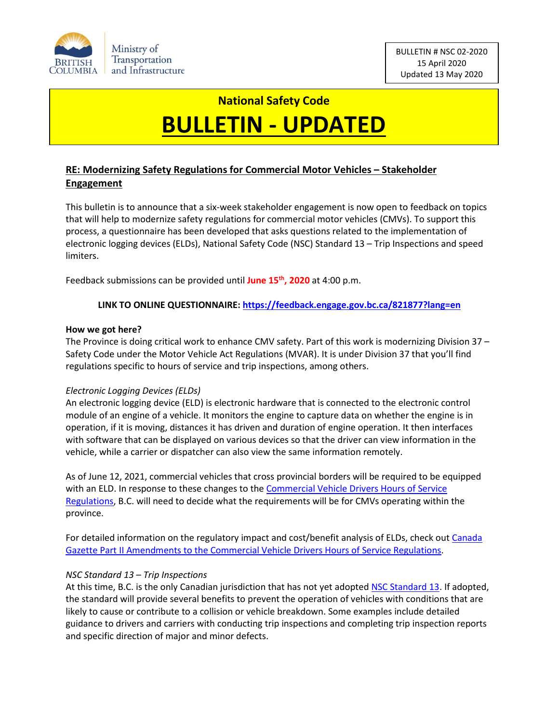

# **National Safety Code BULLETIN - UPDATED**

# **RE: Modernizing Safety Regulations for Commercial Motor Vehicles – Stakeholder Engagement**

This bulletin is to announce that a six-week stakeholder engagement is now open to feedback on topics that will help to modernize safety regulations for commercial motor vehicles (CMVs). To support this process, a questionnaire has been developed that asks questions related to the implementation of electronic logging devices (ELDs), National Safety Code (NSC) Standard 13 – Trip Inspections and speed limiters.

Feedback submissions can be provided until **June 15th, 2020** at 4:00 p.m.

## **LINK TO ONLINE QUESTIONNAIRE[: https://feedback.engage.gov.bc.ca/821877?lang=en](https://feedback.engage.gov.bc.ca/821877?lang=en)**

### **How we got here?**

The Province is doing critical work to enhance CMV safety. Part of this work is modernizing Division 37 – Safety Code under the Motor Vehicle Act Regulations (MVAR). It is under Division 37 that you'll find regulations specific to hours of service and trip inspections, among others.

### *Electronic Logging Devices (ELDs)*

An electronic logging device (ELD) is electronic hardware that is connected to the electronic control module of an engine of a vehicle. It monitors the engine to capture data on whether the engine is in operation, if it is moving, distances it has driven and duration of engine operation. It then interfaces with software that can be displayed on various devices so that the driver can view information in the vehicle, while a carrier or dispatcher can also view the same information remotely.

As of June 12, 2021, commercial vehicles that cross provincial borders will be required to be equipped with an ELD. In response to these changes to the Commercial Vehicle Drivers Hours of Service [Regulations,](https://laws-lois.justice.gc.ca/eng/regulations/SOR-2005-313/) B.C. will need to decide what the requirements will be for CMVs operating within the province.

For detailed information on the regulatory impact and cost/benefit analysis of ELDs, check out [Canada](http://gazette.gc.ca/rp-pr/p2/2019/2019-06-12/html/sor-dors165-eng.html)  Gazette Part II [Amendments to the Commercial Vehicle Drivers Hours of Service Regulations.](http://gazette.gc.ca/rp-pr/p2/2019/2019-06-12/html/sor-dors165-eng.html)

### *NSC Standard 13 – Trip Inspections*

At this time, B.C. is the only Canadian jurisdiction that has not yet adopte[d NSC Standard 13.](https://ccmta.ca/images/publications/pdf/NSC_2018/Standard_13_March_2009.pdf) If adopted, the standard will provide several benefits to prevent the operation of vehicles with conditions that are likely to cause or contribute to a collision or vehicle breakdown. Some examples include detailed guidance to drivers and carriers with conducting trip inspections and completing trip inspection reports and specific direction of major and minor defects.